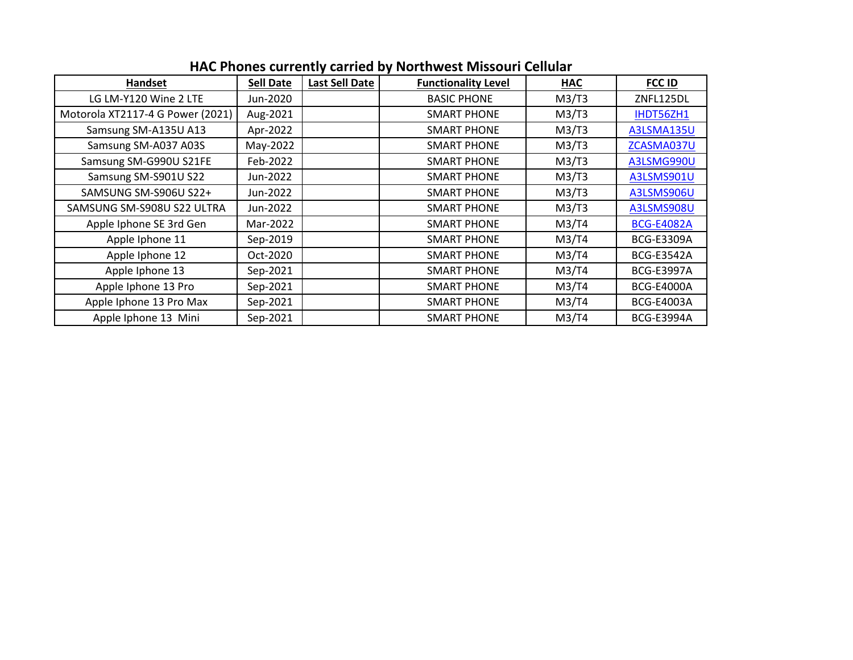| Handset                          | <b>Sell Date</b> | <b>Last Sell Date</b> | <b>Functionality Level</b> | <b>HAC</b> | <b>FCC ID</b>     |
|----------------------------------|------------------|-----------------------|----------------------------|------------|-------------------|
| LG LM-Y120 Wine 2 LTE            | Jun-2020         |                       | <b>BASIC PHONE</b>         | M3/T3      | ZNFL125DL         |
| Motorola XT2117-4 G Power (2021) | Aug-2021         |                       | <b>SMART PHONE</b>         | M3/T3      | IHDT56ZH1         |
| Samsung SM-A135U A13             | Apr-2022         |                       | <b>SMART PHONE</b>         | M3/T3      | A3LSMA135U        |
| Samsung SM-A037 A03S             | May-2022         |                       | <b>SMART PHONE</b>         | M3/T3      | ZCASMA037U        |
| Samsung SM-G990U S21FE           | Feb-2022         |                       | <b>SMART PHONE</b>         | M3/T3      | A3LSMG990U        |
| Samsung SM-S901U S22             | Jun-2022         |                       | <b>SMART PHONE</b>         | M3/T3      | A3LSMS901U        |
| SAMSUNG SM-S906U S22+            | Jun-2022         |                       | <b>SMART PHONE</b>         | M3/T3      | A3LSMS906U        |
| SAMSUNG SM-S908U S22 ULTRA       | Jun-2022         |                       | <b>SMART PHONE</b>         | M3/T3      | A3LSMS908U        |
| Apple Iphone SE 3rd Gen          | Mar-2022         |                       | <b>SMART PHONE</b>         | M3/T4      | <b>BCG-E4082A</b> |
| Apple Iphone 11                  | Sep-2019         |                       | <b>SMART PHONE</b>         | M3/T4      | <b>BCG-E3309A</b> |
| Apple Iphone 12                  | Oct-2020         |                       | <b>SMART PHONE</b>         | M3/T4      | <b>BCG-E3542A</b> |
| Apple Iphone 13                  | Sep-2021         |                       | <b>SMART PHONE</b>         | M3/T4      | <b>BCG-E3997A</b> |
| Apple Iphone 13 Pro              | Sep-2021         |                       | <b>SMART PHONE</b>         | M3/T4      | <b>BCG-E4000A</b> |
| Apple Iphone 13 Pro Max          | Sep-2021         |                       | <b>SMART PHONE</b>         | M3/T4      | <b>BCG-E4003A</b> |
| Apple Iphone 13 Mini             | Sep-2021         |                       | <b>SMART PHONE</b>         | M3/T4      | <b>BCG-E3994A</b> |

## **HAC Phones currently carried by Northwest Missouri Cellular**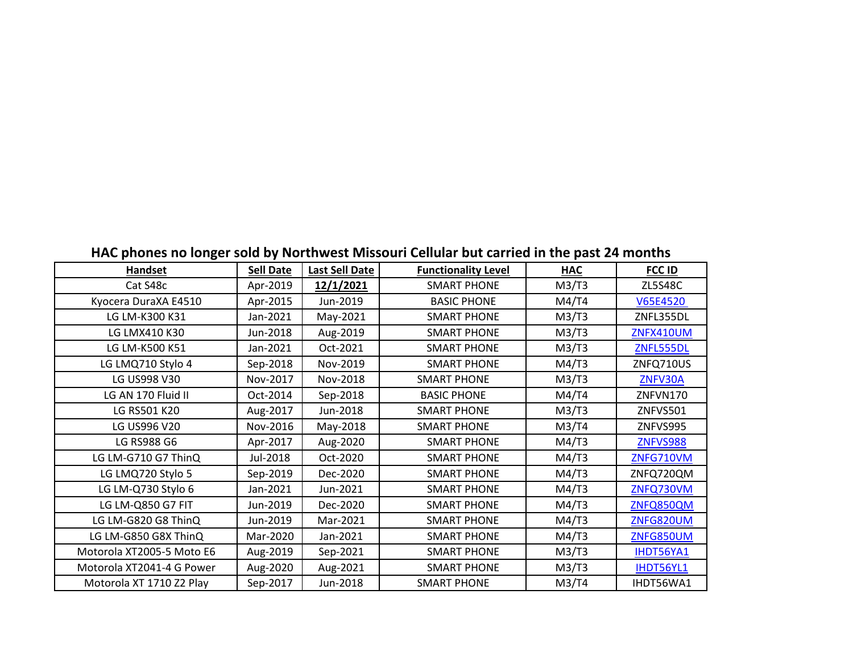| <b>Handset</b>            | <b>Sell Date</b> | Last Sell Date | <b>Functionality Level</b> | <b>HAC</b> | <b>FCC ID</b>    |
|---------------------------|------------------|----------------|----------------------------|------------|------------------|
| Cat S48c                  | Apr-2019         | 12/1/2021      | <b>SMART PHONE</b>         | M3/T3      | <b>ZL5S48C</b>   |
| Kyocera DuraXA E4510      | Apr-2015         | Jun-2019       | <b>BASIC PHONE</b>         | M4/T4      | V65E4520         |
| LG LM-K300 K31            | Jan-2021         | May-2021       | <b>SMART PHONE</b>         | M3/T3      | ZNFL355DL        |
| LG LMX410 K30             | Jun-2018         | Aug-2019       | <b>SMART PHONE</b>         | M3/T3      | <b>ZNFX410UM</b> |
| LG LM-K500 K51            | Jan-2021         | Oct-2021       | <b>SMART PHONE</b>         | M3/T3      | ZNFL555DL        |
| LG LMQ710 Stylo 4         | Sep-2018         | Nov-2019       | <b>SMART PHONE</b>         | M4/T3      | ZNFQ710US        |
| LG US998 V30              | Nov-2017         | Nov-2018       | <b>SMART PHONE</b>         | M3/T3      | ZNFV30A          |
| LG AN 170 Fluid II        | Oct-2014         | Sep-2018       | <b>BASIC PHONE</b>         | M4/T4      | ZNFVN170         |
| LG RS501 K20              | Aug-2017         | Jun-2018       | <b>SMART PHONE</b>         | M3/T3      | ZNFVS501         |
| LG US996 V20              | Nov-2016         | May-2018       | <b>SMART PHONE</b>         | M3/T4      | ZNFVS995         |
| LG RS988 G6               | Apr-2017         | Aug-2020       | <b>SMART PHONE</b>         | M4/T3      | <b>ZNFVS988</b>  |
| LG LM-G710 G7 ThinQ       | Jul-2018         | Oct-2020       | <b>SMART PHONE</b>         | M4/T3      | ZNFG710VM        |
| LG LMQ720 Stylo 5         | Sep-2019         | Dec-2020       | <b>SMART PHONE</b>         | M4/T3      | ZNFQ720QM        |
| LG LM-Q730 Stylo 6        | Jan-2021         | Jun-2021       | <b>SMART PHONE</b>         | M4/T3      | ZNFQ730VM        |
| LG LM-Q850 G7 FIT         | Jun-2019         | Dec-2020       | <b>SMART PHONE</b>         | M4/T3      | ZNFQ850QM        |
| LG LM-G820 G8 ThinQ       | Jun-2019         | Mar-2021       | <b>SMART PHONE</b>         | M4/T3      | ZNFG820UM        |
| LG LM-G850 G8X ThinQ      | Mar-2020         | Jan-2021       | <b>SMART PHONE</b>         | M4/T3      | ZNFG850UM        |
| Motorola XT2005-5 Moto E6 | Aug-2019         | Sep-2021       | <b>SMART PHONE</b>         | M3/T3      | IHDT56YA1        |
| Motorola XT2041-4 G Power | Aug-2020         | Aug-2021       | <b>SMART PHONE</b>         | M3/T3      | IHDT56YL1        |
| Motorola XT 1710 Z2 Play  | Sep-2017         | Jun-2018       | <b>SMART PHONE</b>         | M3/T4      | IHDT56WA1        |

## **HAC phones no longer sold by Northwest Missouri Cellular but carried in the past 24 months**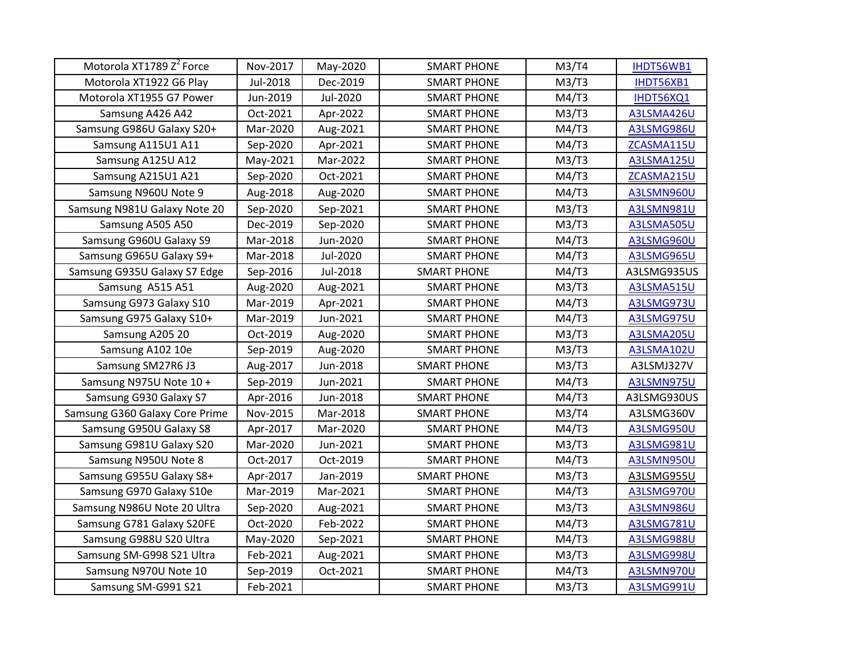| Motorola XT1789 Z <sup>2</sup> Force | Nov-2017 | May-2020 | <b>SMART PHONE</b> | M3/T4 | IHDT56WB1   |
|--------------------------------------|----------|----------|--------------------|-------|-------------|
| Motorola XT1922 G6 Play              | Jul-2018 | Dec-2019 | <b>SMART PHONE</b> | M3/T3 | IHDT56XB1   |
| Motorola XT1955 G7 Power             | Jun-2019 | Jul-2020 | <b>SMART PHONE</b> | M4/T3 | IHDT56XQ1   |
| Samsung A426 A42                     | Oct-2021 | Apr-2022 | <b>SMART PHONE</b> | M3/T3 | A3LSMA426U  |
| Samsung G986U Galaxy S20+            | Mar-2020 | Aug-2021 | <b>SMART PHONE</b> | M4/T3 | A3LSMG986U  |
| Samsung A115U1 A11                   | Sep-2020 | Apr-2021 | <b>SMART PHONE</b> | M4/T3 | ZCASMA115U  |
| Samsung A125U A12                    | May-2021 | Mar-2022 | <b>SMART PHONE</b> | M3/T3 | A3LSMA125U  |
| Samsung A215U1 A21                   | Sep-2020 | Oct-2021 | <b>SMART PHONE</b> | M4/T3 | ZCASMA215U  |
| Samsung N960U Note 9                 | Aug-2018 | Aug-2020 | <b>SMART PHONE</b> | M4/T3 | A3LSMN960U  |
| Samsung N981U Galaxy Note 20         | Sep-2020 | Sep-2021 | <b>SMART PHONE</b> | M3/T3 | A3LSMN981U  |
| Samsung A505 A50                     | Dec-2019 | Sep-2020 | <b>SMART PHONE</b> | M3/T3 | A3LSMA505U  |
| Samsung G960U Galaxy S9              | Mar-2018 | Jun-2020 | <b>SMART PHONE</b> | M4/T3 | A3LSMG960U  |
| Samsung G965U Galaxy S9+             | Mar-2018 | Jul-2020 | <b>SMART PHONE</b> | M4/T3 | A3LSMG965U  |
| Samsung G935U Galaxy S7 Edge         | Sep-2016 | Jul-2018 | <b>SMART PHONE</b> | M4/T3 | A3LSMG935US |
| Samsung A515 A51                     | Aug-2020 | Aug-2021 | <b>SMART PHONE</b> | M3/T3 | A3LSMA515U  |
| Samsung G973 Galaxy S10              | Mar-2019 | Apr-2021 | <b>SMART PHONE</b> | M4/T3 | A3LSMG973U  |
| Samsung G975 Galaxy S10+             | Mar-2019 | Jun-2021 | <b>SMART PHONE</b> | M4/T3 | A3LSMG975U  |
| Samsung A205 20                      | Oct-2019 | Aug-2020 | <b>SMART PHONE</b> | M3/T3 | A3LSMA205U  |
| Samsung A102 10e                     | Sep-2019 | Aug-2020 | <b>SMART PHONE</b> | M3/T3 | A3LSMA102U  |
| Samsung SM27R6 J3                    | Aug-2017 | Jun-2018 | <b>SMART PHONE</b> | M3/T3 | A3LSMJ327V  |
| Samsung N975U Note 10 +              | Sep-2019 | Jun-2021 | <b>SMART PHONE</b> | M4/T3 | A3LSMN975U  |
| Samsung G930 Galaxy S7               | Apr-2016 | Jun-2018 | <b>SMART PHONE</b> | M4/T3 | A3LSMG930US |
| Samsung G360 Galaxy Core Prime       | Nov-2015 | Mar-2018 | <b>SMART PHONE</b> | M3/T4 | A3LSMG360V  |
| Samsung G950U Galaxy S8              | Apr-2017 | Mar-2020 | <b>SMART PHONE</b> | M4/T3 | A3LSMG950U  |
| Samsung G981U Galaxy S20             | Mar-2020 | Jun-2021 | <b>SMART PHONE</b> | M3/T3 | A3LSMG981U  |
| Samsung N950U Note 8                 | Oct-2017 | Oct-2019 | <b>SMART PHONE</b> | M4/T3 | A3LSMN950U  |
| Samsung G955U Galaxy S8+             | Apr-2017 | Jan-2019 | <b>SMART PHONE</b> | M3/T3 | A3LSMG955U  |
| Samsung G970 Galaxy S10e             | Mar-2019 | Mar-2021 | <b>SMART PHONE</b> | M4/T3 | A3LSMG970U  |
| Samsung N986U Note 20 Ultra          | Sep-2020 | Aug-2021 | <b>SMART PHONE</b> | M3/T3 | A3LSMN986U  |
| Samsung G781 Galaxy S20FE            | Oct-2020 | Feb-2022 | <b>SMART PHONE</b> | M4/T3 | A3LSMG781U  |
| Samsung G988U S20 Ultra              | May-2020 | Sep-2021 | <b>SMART PHONE</b> | M4/T3 | A3LSMG988U  |
| Samsung SM-G998 S21 Ultra            | Feb-2021 | Aug-2021 | <b>SMART PHONE</b> | M3/T3 | A3LSMG998U  |
| Samsung N970U Note 10                | Sep-2019 | Oct-2021 | <b>SMART PHONE</b> | M4/T3 | A3LSMN970U  |
| Samsung SM-G991 S21                  | Feb-2021 |          | <b>SMART PHONE</b> | M3/T3 | A3LSMG991U  |